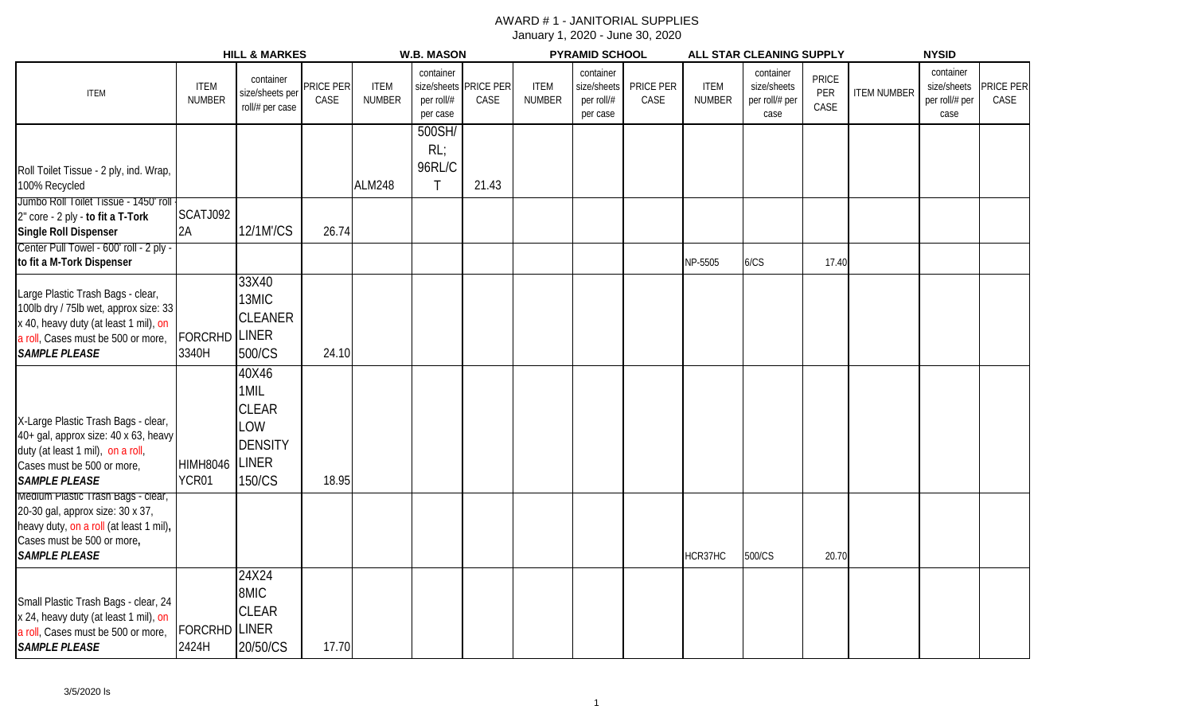|                                                                                                                                                                                   | <b>HILL &amp; MARKES</b>      |                                                                                  |                   | <b>W.B. MASON</b>            |                                                    |                          | <b>PYRAMID SCHOOL</b>        |                                                    |                   | ALL STAR CLEANING SUPPLY     |                                                    |                             | <b>NYSID</b>       |                                                    |                   |
|-----------------------------------------------------------------------------------------------------------------------------------------------------------------------------------|-------------------------------|----------------------------------------------------------------------------------|-------------------|------------------------------|----------------------------------------------------|--------------------------|------------------------------|----------------------------------------------------|-------------------|------------------------------|----------------------------------------------------|-----------------------------|--------------------|----------------------------------------------------|-------------------|
| <b>ITEM</b>                                                                                                                                                                       | <b>ITEM</b><br><b>NUMBER</b>  | container<br>size/sheets per<br>roll/# per case                                  | PRICE PER<br>CASE | <b>ITEM</b><br><b>NUMBER</b> | container<br>size/sheets<br>per roll/#<br>per case | <b>PRICE PER</b><br>CASE | <b>ITEM</b><br><b>NUMBER</b> | container<br>size/sheets<br>per roll/#<br>per case | PRICE PER<br>CASE | <b>ITEM</b><br><b>NUMBER</b> | container<br>size/sheets<br>per roll/# per<br>case | <b>PRICE</b><br>PER<br>CASE | <b>ITEM NUMBER</b> | container<br>size/sheets<br>per roll/# per<br>case | PRICE PER<br>CASE |
|                                                                                                                                                                                   |                               |                                                                                  |                   |                              | 500SH/<br>RL                                       |                          |                              |                                                    |                   |                              |                                                    |                             |                    |                                                    |                   |
| Roll Toilet Tissue - 2 ply, ind. Wrap,<br>100% Recycled                                                                                                                           |                               |                                                                                  |                   | <b>ALM248</b>                | 96RL/C<br>$\mathsf{T}$                             | 21.43                    |                              |                                                    |                   |                              |                                                    |                             |                    |                                                    |                   |
| Jumbo Roll Toilet Tissue - 1450' roll<br>2" core - 2 ply - to fit a T-Tork<br>Single Roll Dispenser                                                                               | SCATJ092<br>2A                | 12/1M'/CS                                                                        | 26.74             |                              |                                                    |                          |                              |                                                    |                   |                              |                                                    |                             |                    |                                                    |                   |
| Center Pull Towel - 600' roll - 2 ply -<br>to fit a M-Tork Dispenser                                                                                                              |                               |                                                                                  |                   |                              |                                                    |                          |                              |                                                    |                   | NP-5505                      | 6/CS                                               | 17.40                       |                    |                                                    |                   |
| Large Plastic Trash Bags - clear,<br>100lb dry / 75lb wet, approx size: 33<br>x 40, heavy duty (at least 1 mil), on<br>a roll, Cases must be 500 or more,<br><b>SAMPLE PLEASE</b> | <b>FORCRHD LINER</b><br>3340H | 33X40<br>13MIC<br><b>CLEANER</b><br>500/CS                                       | 24.10             |                              |                                                    |                          |                              |                                                    |                   |                              |                                                    |                             |                    |                                                    |                   |
| X-Large Plastic Trash Bags - clear,<br>40+ gal, approx size: 40 x 63, heavy<br>duty (at least 1 mil), on a roll,<br>Cases must be 500 or more,<br><b>SAMPLE PLEASE</b>            | <b>HIMH8046</b><br>YCR01      | 40X46<br>1MIL<br><b>CLEAR</b><br>LOW<br><b>DENSITY</b><br><b>LINER</b><br>150/CS | 18.95             |                              |                                                    |                          |                              |                                                    |                   |                              |                                                    |                             |                    |                                                    |                   |
| Medium Plastic Trash Bags - clear,<br>20-30 gal, approx size: 30 x 37,<br>heavy duty, on a roll (at least 1 mil),<br>Cases must be 500 or more,<br><b>SAMPLE PLEASE</b>           |                               |                                                                                  |                   |                              |                                                    |                          |                              |                                                    |                   | HCR37HC                      | 500/CS                                             | 20.70                       |                    |                                                    |                   |
| Small Plastic Trash Bags - clear, 24<br>x 24, heavy duty (at least 1 mil), on<br>a roll, Cases must be 500 or more,<br><b>SAMPLE PLEASE</b>                                       | <b>FORCRHD LINER</b><br>2424H | 24X24<br>8MIC<br><b>CLEAR</b><br>20/50/CS                                        | 17.70             |                              |                                                    |                          |                              |                                                    |                   |                              |                                                    |                             |                    |                                                    |                   |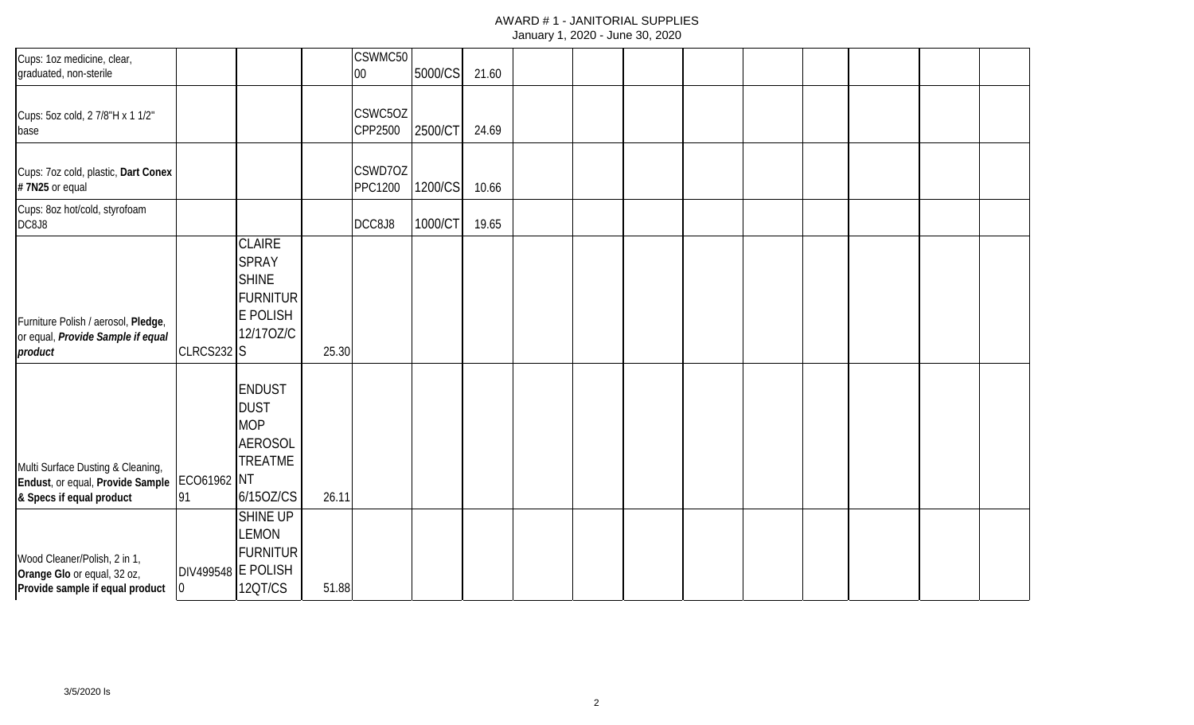| Cups: 1oz medicine, clear,<br>graduated, non-sterile                                                            |                |                                                                                                  |       | CSWMC50<br>$00\,$         | 5000/CS | 21.60 |  |  |  |  |  |
|-----------------------------------------------------------------------------------------------------------------|----------------|--------------------------------------------------------------------------------------------------|-------|---------------------------|---------|-------|--|--|--|--|--|
| Cups: 5oz cold, 2 7/8"H x 1 1/2"<br>base                                                                        |                |                                                                                                  |       | CSWC5OZ<br>CPP2500        | 2500/CT | 24.69 |  |  |  |  |  |
| Cups: 7oz cold, plastic, Dart Conex<br>#7N25 or equal                                                           |                |                                                                                                  |       | CSWD7OZ<br><b>PPC1200</b> | 1200/CS | 10.66 |  |  |  |  |  |
| Cups: 8oz hot/cold, styrofoam<br>DC8J8                                                                          |                |                                                                                                  |       | DCC8J8                    | 1000/CT | 19.65 |  |  |  |  |  |
| Furniture Polish / aerosol, Pledge,<br>or equal, Provide Sample if equal<br>product                             | CLRCS232 S     | <b>CLAIRE</b><br><b>SPRAY</b><br><b>SHINE</b><br><b>FURNITUR</b><br><b>E POLISH</b><br>12/170Z/C | 25.30 |                           |         |       |  |  |  |  |  |
| Multi Surface Dusting & Cleaning,<br>Endust, or equal, Provide Sample   ECO61962 NT<br>& Specs if equal product | 91             | <b>ENDUST</b><br><b>DUST</b><br><b>MOP</b><br><b>AEROSOL</b><br><b>TREATME</b><br>6/150Z/CS      | 26.11 |                           |         |       |  |  |  |  |  |
| Wood Cleaner/Polish, 2 in 1,<br>Orange Glo or equal, 32 oz,<br>Provide sample if equal product                  | $\overline{0}$ | <b>SHINE UP</b><br><b>LEMON</b><br><b>FURNITUR</b><br>DIV499548 E POLISH<br>12QT/CS              | 51.88 |                           |         |       |  |  |  |  |  |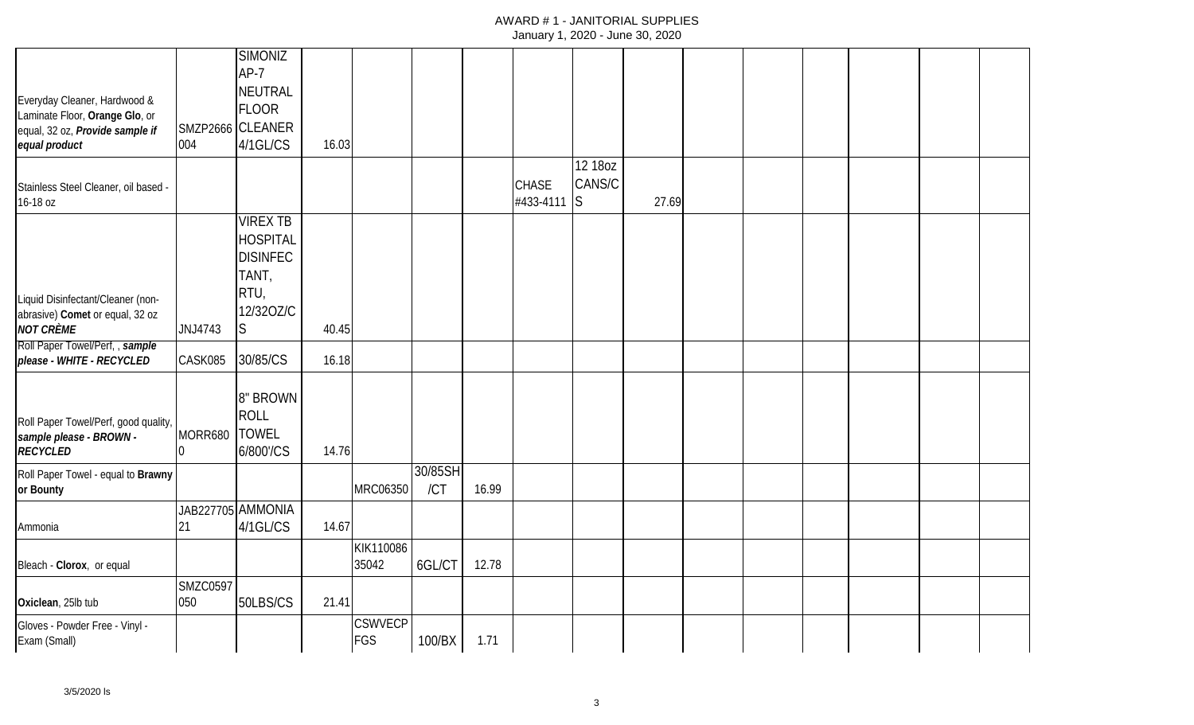|                                                                                                                    |                        | <b>SIMONIZ</b>                                                                                      |       |                              |                |       |                           |                        |       |  |  |  |
|--------------------------------------------------------------------------------------------------------------------|------------------------|-----------------------------------------------------------------------------------------------------|-------|------------------------------|----------------|-------|---------------------------|------------------------|-------|--|--|--|
| Everyday Cleaner, Hardwood &<br>Laminate Floor, Orange Glo, or<br>equal, 32 oz, Provide sample if<br>equal product | 004                    | $AP-7$<br><b>NEUTRAL</b><br>FLOOR<br>SMZP2666 CLEANER<br>4/1GL/CS                                   | 16.03 |                              |                |       |                           |                        |       |  |  |  |
|                                                                                                                    |                        |                                                                                                     |       |                              |                |       |                           | 12 18 oz               |       |  |  |  |
| Stainless Steel Cleaner, oil based -<br>16-18 oz                                                                   |                        |                                                                                                     |       |                              |                |       | <b>CHASE</b><br>#433-4111 | CANS/C<br><sup>S</sup> | 27.69 |  |  |  |
| Liquid Disinfectant/Cleaner (non-<br>abrasive) Comet or equal, 32 oz<br><b>NOT CRÈME</b>                           | JNJ4743                | <b>VIREX TB</b><br><b>HOSPITAL</b><br><b>DISINFEC</b><br>TANT,<br>RTU,<br>12/320Z/C<br><sub>S</sub> | 40.45 |                              |                |       |                           |                        |       |  |  |  |
| Roll Paper Towel/Perf,, sample                                                                                     |                        |                                                                                                     |       |                              |                |       |                           |                        |       |  |  |  |
| please - WHITE - RECYCLED                                                                                          | CASK085                | 30/85/CS                                                                                            | 16.18 |                              |                |       |                           |                        |       |  |  |  |
| Roll Paper Towel/Perf, good quality,<br>sample please - BROWN -<br><b>RECYCLED</b>                                 | MORR680                | 8" BROWN<br><b>ROLL</b><br><b>TOWEL</b><br>6/800'/CS                                                | 14.76 |                              |                |       |                           |                        |       |  |  |  |
| Roll Paper Towel - equal to Brawny<br>or Bounty                                                                    |                        |                                                                                                     |       | MRC06350                     | 30/85SH<br>/CT | 16.99 |                           |                        |       |  |  |  |
| Ammonia                                                                                                            | 21                     | JAB227705 AMMONIA<br>4/1GL/CS                                                                       | 14.67 |                              |                |       |                           |                        |       |  |  |  |
| Bleach - Clorox, or equal                                                                                          |                        |                                                                                                     |       | KIK110086<br>35042           | 6GL/CT         | 12.78 |                           |                        |       |  |  |  |
| Oxiclean, 25lb tub                                                                                                 | <b>SMZC0597</b><br>050 | 50LBS/CS                                                                                            | 21.41 |                              |                |       |                           |                        |       |  |  |  |
| Gloves - Powder Free - Vinyl -<br>Exam (Small)                                                                     |                        |                                                                                                     |       | <b>CSWVECP</b><br><b>FGS</b> | 100/BX         | 1.71  |                           |                        |       |  |  |  |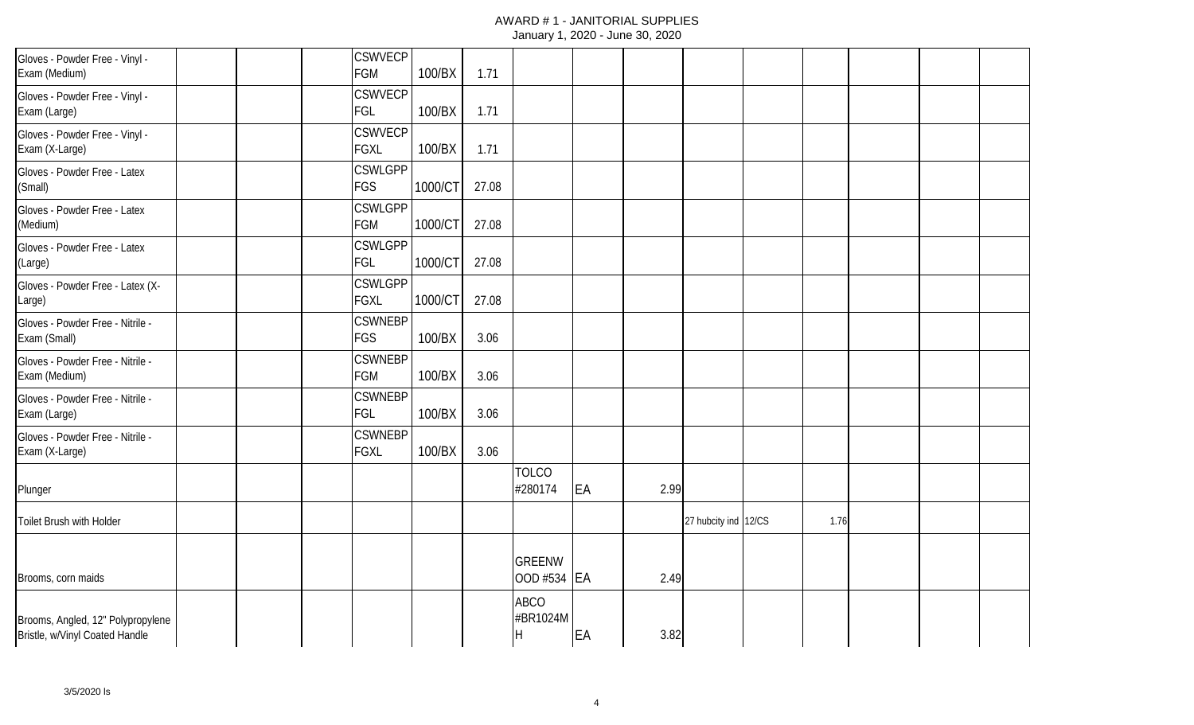| Gloves - Powder Free - Vinyl -<br>Exam (Medium)                     |  | <b>CSWVECP</b><br><b>FGM</b>  | 100/BX  | 1.71  |                                                      |    |      |                      |      |  |  |
|---------------------------------------------------------------------|--|-------------------------------|---------|-------|------------------------------------------------------|----|------|----------------------|------|--|--|
| Gloves - Powder Free - Vinyl -<br>Exam (Large)                      |  | <b>CSWVECP</b><br>FGL         | 100/BX  | 1.71  |                                                      |    |      |                      |      |  |  |
| Gloves - Powder Free - Vinyl -<br>Exam (X-Large)                    |  | <b>CSWVECP</b><br><b>FGXL</b> | 100/BX  | 1.71  |                                                      |    |      |                      |      |  |  |
| Gloves - Powder Free - Latex<br>(Small)                             |  | <b>CSWLGPP</b><br><b>FGS</b>  | 1000/CT | 27.08 |                                                      |    |      |                      |      |  |  |
| Gloves - Powder Free - Latex<br>(Medium)                            |  | <b>CSWLGPP</b><br>FGM         | 1000/CT | 27.08 |                                                      |    |      |                      |      |  |  |
| Gloves - Powder Free - Latex<br>(Large)                             |  | <b>CSWLGPP</b><br>FGL         | 1000/CT | 27.08 |                                                      |    |      |                      |      |  |  |
| Gloves - Powder Free - Latex (X-<br>Large)                          |  | <b>CSWLGPP</b><br><b>FGXL</b> | 1000/CT | 27.08 |                                                      |    |      |                      |      |  |  |
| Gloves - Powder Free - Nitrile -<br>Exam (Small)                    |  | <b>CSWNEBP</b><br><b>FGS</b>  | 100/BX  | 3.06  |                                                      |    |      |                      |      |  |  |
| Gloves - Powder Free - Nitrile -<br>Exam (Medium)                   |  | <b>CSWNEBP</b><br><b>FGM</b>  | 100/BX  | 3.06  |                                                      |    |      |                      |      |  |  |
| Gloves - Powder Free - Nitrile -<br>Exam (Large)                    |  | <b>CSWNEBP</b><br>FGL         | 100/BX  | 3.06  |                                                      |    |      |                      |      |  |  |
| Gloves - Powder Free - Nitrile -<br>Exam (X-Large)                  |  | <b>CSWNEBP</b><br><b>FGXL</b> | 100/BX  | 3.06  |                                                      |    |      |                      |      |  |  |
| Plunger                                                             |  |                               |         |       | <b>TOLCO</b><br>#280174                              | EA | 2.99 |                      |      |  |  |
| Toilet Brush with Holder                                            |  |                               |         |       |                                                      |    |      | 27 hubcity ind 12/CS | 1.76 |  |  |
| Brooms, corn maids                                                  |  |                               |         |       | <b>GREENW</b><br>OOD #534 EA                         |    | 2.49 |                      |      |  |  |
| Brooms, Angled, 12" Polypropylene<br>Bristle, w/Vinyl Coated Handle |  |                               |         |       | <b>ABCO</b><br>#BR1024M<br>$\boldsymbol{\mathsf{H}}$ | EA | 3.82 |                      |      |  |  |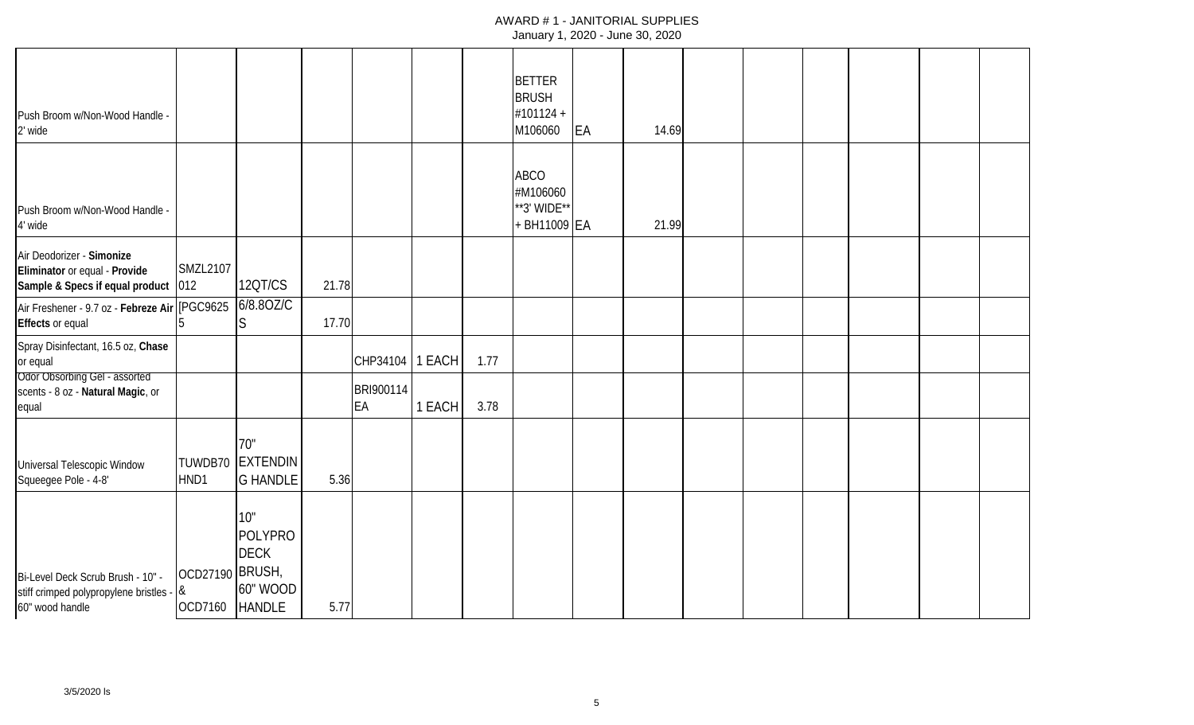| Push Broom w/Non-Wood Handle -<br>2' wide                                                                                            |                            |                                                            |       |                             |                  |              | <b>BETTER</b><br><b>BRUSH</b><br>#101124 +<br>M106060  | <b>EA</b> | 14.69 |  |  |  |
|--------------------------------------------------------------------------------------------------------------------------------------|----------------------------|------------------------------------------------------------|-------|-----------------------------|------------------|--------------|--------------------------------------------------------|-----------|-------|--|--|--|
| Push Broom w/Non-Wood Handle -<br>4' wide                                                                                            |                            |                                                            |       |                             |                  |              | <b>ABCO</b><br>#M106060<br>**3' WIDE**<br>+ BH11009 EA |           | 21.99 |  |  |  |
| Air Deodorizer - Simonize<br>Eliminator or equal - Provide<br>Sample & Specs if equal product 012                                    | <b>SMZL2107</b>            | 12QT/CS                                                    | 21.78 |                             |                  |              |                                                        |           |       |  |  |  |
| Air Freshener - 9.7 oz - Febreze Air (PGC9625<br><b>Effects or equal</b>                                                             |                            | 6/8.80Z/C<br>lS.                                           | 17.70 |                             |                  |              |                                                        |           |       |  |  |  |
| Spray Disinfectant, 16.5 oz, Chase<br>or equal<br><b>Odor Obsorbing Gel - assorted</b><br>scents - 8 oz - Natural Magic, or<br>equal |                            |                                                            |       | CHP34104<br>BRI900114<br>EA | 1 EACH<br>1 EACH | 1.77<br>3.78 |                                                        |           |       |  |  |  |
| Universal Telescopic Window<br>Squeegee Pole - 4-8'                                                                                  | HND1                       | 70"<br>TUWDB70 EXTENDIN<br><b>G HANDLE</b>                 | 5.36  |                             |                  |              |                                                        |           |       |  |  |  |
| Bi-Level Deck Scrub Brush - 10" -<br>stiff crimped polypropylene bristles - &<br>60" wood handle                                     | OCD27190 BRUSH,<br>OCD7160 | 10"<br>POLYPRO<br><b>DECK</b><br>60" WOOD<br><b>HANDLE</b> | 5.77  |                             |                  |              |                                                        |           |       |  |  |  |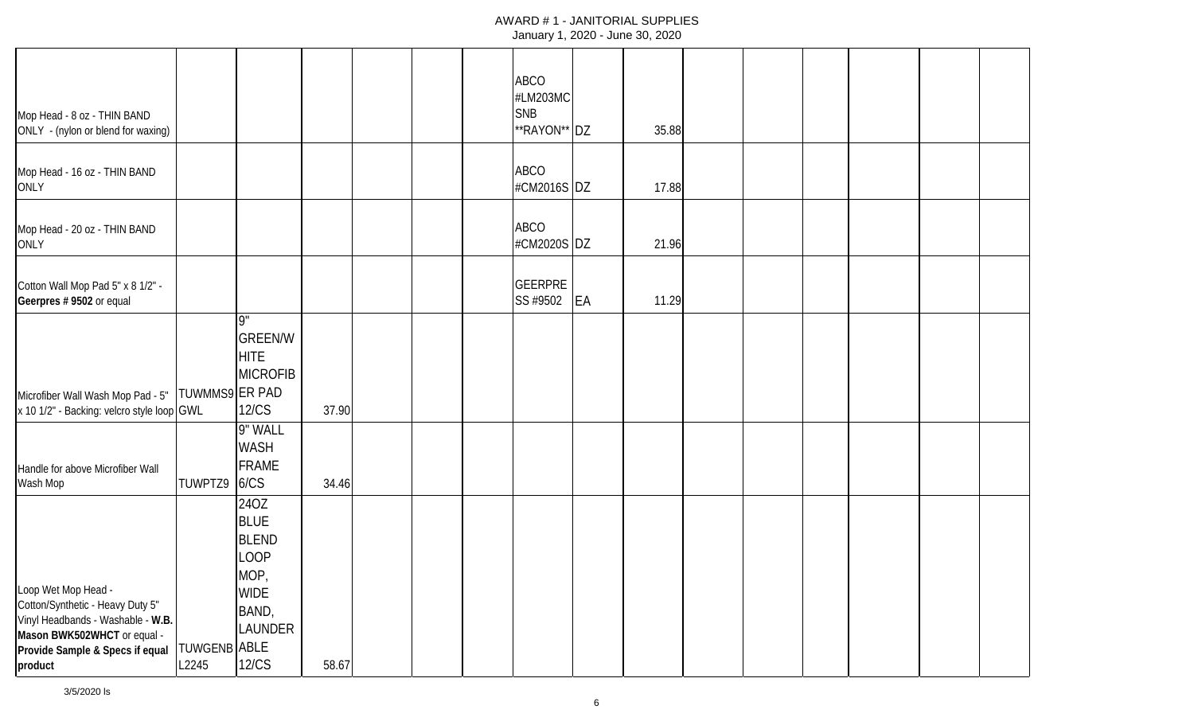|                                                   |              |                     |       |  | <b>ABCO</b>    |    |       |  |  |  |
|---------------------------------------------------|--------------|---------------------|-------|--|----------------|----|-------|--|--|--|
|                                                   |              |                     |       |  | #LM203MC       |    |       |  |  |  |
| Mop Head - 8 oz - THIN BAND                       |              |                     |       |  | <b>SNB</b>     |    |       |  |  |  |
| ONLY - (nylon or blend for waxing)                |              |                     |       |  | **RAYON** DZ   |    | 35.88 |  |  |  |
|                                                   |              |                     |       |  |                |    |       |  |  |  |
| Mop Head - 16 oz - THIN BAND                      |              |                     |       |  | <b>ABCO</b>    |    |       |  |  |  |
| ONLY                                              |              |                     |       |  | #CM2016S DZ    |    | 17.88 |  |  |  |
|                                                   |              |                     |       |  |                |    |       |  |  |  |
| Mop Head - 20 oz - THIN BAND                      |              |                     |       |  | <b>ABCO</b>    |    |       |  |  |  |
| ONLY                                              |              |                     |       |  | #CM2020S DZ    |    | 21.96 |  |  |  |
|                                                   |              |                     |       |  |                |    |       |  |  |  |
| Cotton Wall Mop Pad 5" x 8 1/2" -                 |              |                     |       |  | <b>GEERPRE</b> |    |       |  |  |  |
| Geerpres # 9502 or equal                          |              |                     |       |  | SS #9502       | EA | 11.29 |  |  |  |
|                                                   |              | <b>g</b> "          |       |  |                |    |       |  |  |  |
|                                                   |              | <b>GREEN/W</b>      |       |  |                |    |       |  |  |  |
|                                                   |              | <b>HITE</b>         |       |  |                |    |       |  |  |  |
|                                                   |              | <b>MICROFIB</b>     |       |  |                |    |       |  |  |  |
| Microfiber Wall Wash Mop Pad - 5"  TUWMMS9 ER PAD |              |                     |       |  |                |    |       |  |  |  |
| x 10 1/2" - Backing: velcro style loop GWL        |              | <b>12/CS</b>        | 37.90 |  |                |    |       |  |  |  |
|                                                   |              | 9" WALL             |       |  |                |    |       |  |  |  |
|                                                   |              | WASH                |       |  |                |    |       |  |  |  |
| Handle for above Microfiber Wall                  |              | <b>FRAME</b>        |       |  |                |    |       |  |  |  |
| Wash Mop                                          | TUWPTZ9      | 6/CS                | 34.46 |  |                |    |       |  |  |  |
|                                                   |              | 24OZ                |       |  |                |    |       |  |  |  |
|                                                   |              | <b>BLUE</b>         |       |  |                |    |       |  |  |  |
|                                                   |              | <b>BLEND</b>        |       |  |                |    |       |  |  |  |
|                                                   |              | LOOP                |       |  |                |    |       |  |  |  |
| Loop Wet Mop Head -                               |              | MOP,<br><b>WIDE</b> |       |  |                |    |       |  |  |  |
| Cotton/Synthetic - Heavy Duty 5"                  |              | BAND,               |       |  |                |    |       |  |  |  |
| Vinyl Headbands - Washable - W.B.                 |              | LAUNDER             |       |  |                |    |       |  |  |  |
| Mason BWK502WHCT or equal -                       | TUWGENB ABLE |                     |       |  |                |    |       |  |  |  |
| Provide Sample & Specs if equal<br>product        | L2245        | 12/CS               | 58.67 |  |                |    |       |  |  |  |
|                                                   |              |                     |       |  |                |    |       |  |  |  |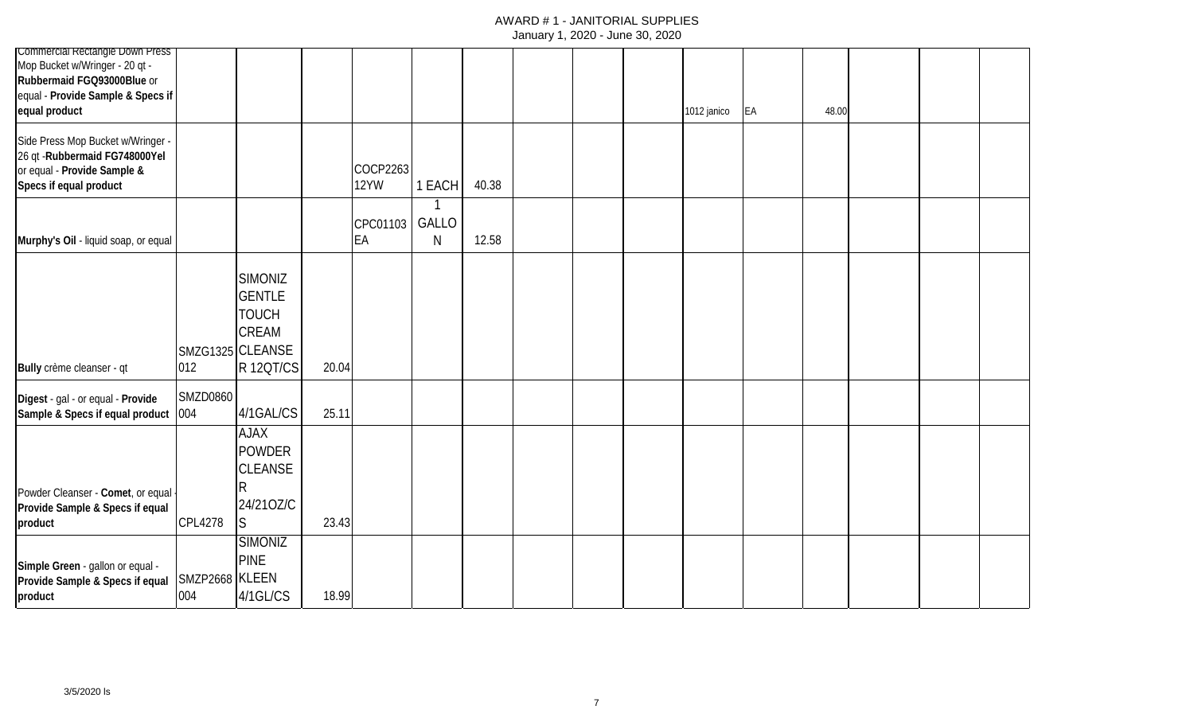| <b>Commercial Rectangle Down Press</b>     |                 |                  |       |          |        |       |  |             |    |       |  |  |
|--------------------------------------------|-----------------|------------------|-------|----------|--------|-------|--|-------------|----|-------|--|--|
| Mop Bucket w/Wringer - 20 qt -             |                 |                  |       |          |        |       |  |             |    |       |  |  |
| Rubbermaid FGQ93000Blue or                 |                 |                  |       |          |        |       |  |             |    |       |  |  |
| equal - Provide Sample & Specs if          |                 |                  |       |          |        |       |  |             |    |       |  |  |
| equal product                              |                 |                  |       |          |        |       |  | 1012 janico | EA | 48.00 |  |  |
| Side Press Mop Bucket w/Wringer -          |                 |                  |       |          |        |       |  |             |    |       |  |  |
| 26 qt - Rubbermaid FG748000Yel             |                 |                  |       |          |        |       |  |             |    |       |  |  |
| or equal - Provide Sample &                |                 |                  |       | COCP2263 |        |       |  |             |    |       |  |  |
| Specs if equal product                     |                 |                  |       | 12YW     | 1 EACH | 40.38 |  |             |    |       |  |  |
|                                            |                 |                  |       |          |        |       |  |             |    |       |  |  |
|                                            |                 |                  |       | CPC01103 | GALLO  |       |  |             |    |       |  |  |
| Murphy's Oil - liquid soap, or equal       |                 |                  |       | EA       | N      | 12.58 |  |             |    |       |  |  |
|                                            |                 |                  |       |          |        |       |  |             |    |       |  |  |
|                                            |                 | <b>SIMONIZ</b>   |       |          |        |       |  |             |    |       |  |  |
|                                            |                 |                  |       |          |        |       |  |             |    |       |  |  |
|                                            |                 | <b>GENTLE</b>    |       |          |        |       |  |             |    |       |  |  |
|                                            |                 | <b>TOUCH</b>     |       |          |        |       |  |             |    |       |  |  |
|                                            |                 | <b>CREAM</b>     |       |          |        |       |  |             |    |       |  |  |
|                                            |                 | SMZG1325 CLEANSE |       |          |        |       |  |             |    |       |  |  |
| Bully crème cleanser - qt                  | 012             | <b>R120T/CS</b>  | 20.04 |          |        |       |  |             |    |       |  |  |
|                                            |                 |                  |       |          |        |       |  |             |    |       |  |  |
| Digest - gal - or equal - Provide          | <b>SMZD0860</b> |                  |       |          |        |       |  |             |    |       |  |  |
| Sample & Specs if equal product 004        |                 | 4/1GAL/CS        | 25.11 |          |        |       |  |             |    |       |  |  |
|                                            |                 | <b>AJAX</b>      |       |          |        |       |  |             |    |       |  |  |
|                                            |                 | <b>POWDER</b>    |       |          |        |       |  |             |    |       |  |  |
|                                            |                 | <b>CLEANSE</b>   |       |          |        |       |  |             |    |       |  |  |
|                                            |                 |                  |       |          |        |       |  |             |    |       |  |  |
| Powder Cleanser - Comet, or equal -        |                 | 24/210Z/C        |       |          |        |       |  |             |    |       |  |  |
| Provide Sample & Specs if equal<br>product | CPL4278         | S.               | 23.43 |          |        |       |  |             |    |       |  |  |
|                                            |                 |                  |       |          |        |       |  |             |    |       |  |  |
|                                            |                 | <b>SIMONIZ</b>   |       |          |        |       |  |             |    |       |  |  |
| Simple Green - gallon or equal -           |                 | <b>PINE</b>      |       |          |        |       |  |             |    |       |  |  |
| Provide Sample & Specs if equal            | SMZP2668 KLEEN  |                  |       |          |        |       |  |             |    |       |  |  |
| product                                    | 004             | 4/1GL/CS         | 18.99 |          |        |       |  |             |    |       |  |  |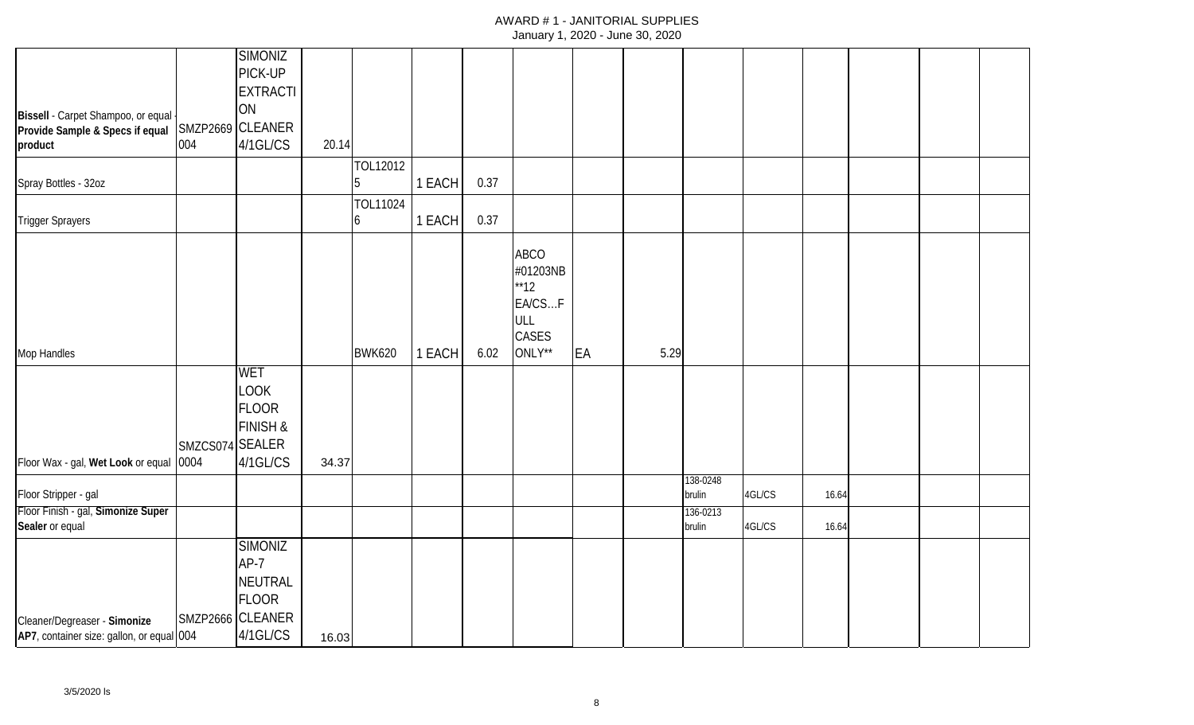|                                                  |                 | <b>SIMONIZ</b>                                        |       |               |        |      |                                                                    |    |      |                    |        |       |  |  |
|--------------------------------------------------|-----------------|-------------------------------------------------------|-------|---------------|--------|------|--------------------------------------------------------------------|----|------|--------------------|--------|-------|--|--|
|                                                  |                 | PICK-UP                                               |       |               |        |      |                                                                    |    |      |                    |        |       |  |  |
|                                                  |                 | <b>EXTRACTI</b>                                       |       |               |        |      |                                                                    |    |      |                    |        |       |  |  |
| Bissell - Carpet Shampoo, or equal -             |                 | ON                                                    |       |               |        |      |                                                                    |    |      |                    |        |       |  |  |
| Provide Sample & Specs if equal SMZP2669 CLEANER |                 |                                                       |       |               |        |      |                                                                    |    |      |                    |        |       |  |  |
| product                                          | 004             | 4/1GL/CS                                              | 20.14 |               |        |      |                                                                    |    |      |                    |        |       |  |  |
|                                                  |                 |                                                       |       | TOL12012      |        |      |                                                                    |    |      |                    |        |       |  |  |
| Spray Bottles - 32oz                             |                 |                                                       |       | 5             | 1 EACH | 0.37 |                                                                    |    |      |                    |        |       |  |  |
|                                                  |                 |                                                       |       | TOL11024      |        |      |                                                                    |    |      |                    |        |       |  |  |
| <b>Trigger Sprayers</b>                          |                 |                                                       |       | 6             | 1 EACH | 0.37 |                                                                    |    |      |                    |        |       |  |  |
|                                                  |                 |                                                       |       |               |        |      | <b>ABCO</b><br>#01203NB<br>$*$ 12<br>EA/CSF<br>ULL<br><b>CASES</b> |    |      |                    |        |       |  |  |
| Mop Handles                                      |                 |                                                       |       | <b>BWK620</b> | 1 EACH | 6.02 | ONLY**                                                             | EA | 5.29 |                    |        |       |  |  |
|                                                  | SMZCS074 SEALER | <b>WET</b><br><b>LOOK</b><br><b>FLOOR</b><br>FINISH & |       |               |        |      |                                                                    |    |      |                    |        |       |  |  |
| Floor Wax - gal, Wet Look or equal 0004          |                 | 4/1GL/CS                                              | 34.37 |               |        |      |                                                                    |    |      |                    |        |       |  |  |
| Floor Stripper - gal                             |                 |                                                       |       |               |        |      |                                                                    |    |      | 138-0248<br>brulin | 4GL/CS | 16.64 |  |  |
| Floor Finish - gal, Simonize Super               |                 |                                                       |       |               |        |      |                                                                    |    |      | 136-0213           |        |       |  |  |
| Sealer or equal                                  |                 |                                                       |       |               |        |      |                                                                    |    |      | brulin             | 4GL/CS | 16.64 |  |  |
|                                                  |                 | <b>SIMONIZ</b><br>$AP-7$<br>NEUTRAL<br><b>FLOOR</b>   |       |               |        |      |                                                                    |    |      |                    |        |       |  |  |
| Cleaner/Degreaser - Simonize                     |                 | SMZP2666 CLEANER                                      |       |               |        |      |                                                                    |    |      |                    |        |       |  |  |
| AP7, container size: gallon, or equal 004        |                 | 4/1GL/CS                                              | 16.03 |               |        |      |                                                                    |    |      |                    |        |       |  |  |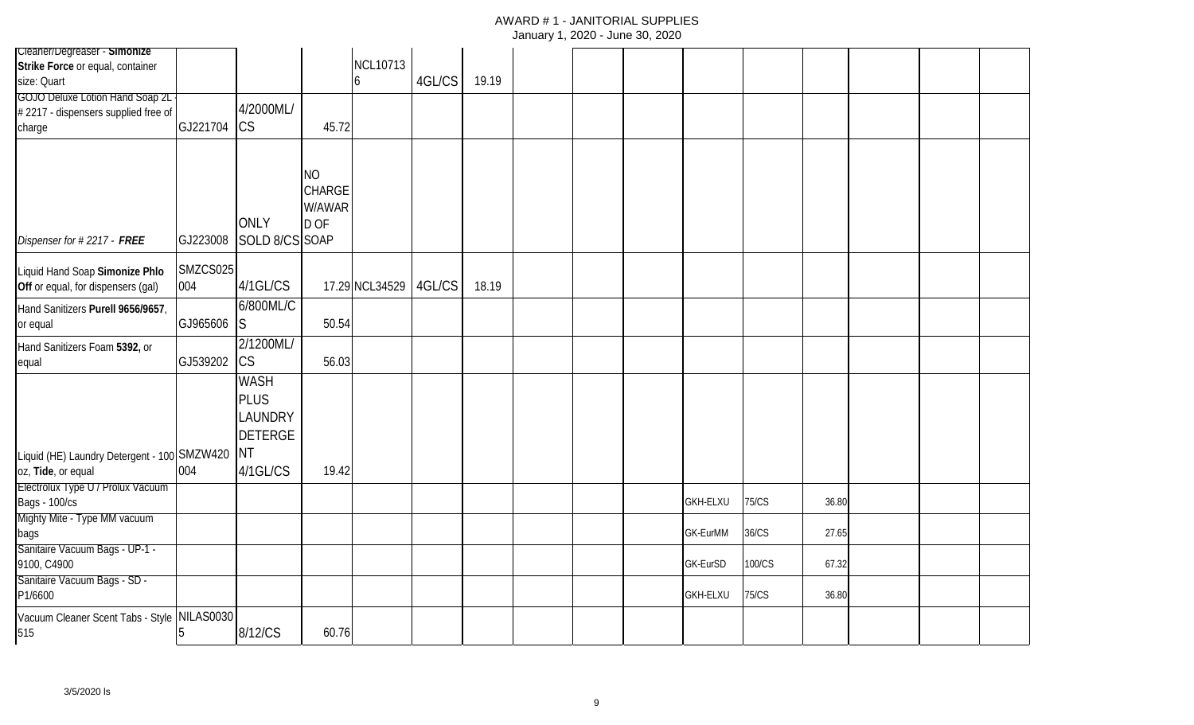| Cleaner/Degreaser - Simonize                |          |                |               |                 |        |       |  |                 |              |       |  |  |
|---------------------------------------------|----------|----------------|---------------|-----------------|--------|-------|--|-----------------|--------------|-------|--|--|
| Strike Force or equal, container            |          |                |               | <b>NCL10713</b> |        |       |  |                 |              |       |  |  |
| size: Quart                                 |          |                |               | 6               | 4GL/CS | 19.19 |  |                 |              |       |  |  |
| <b>GOJO Deluxe Lotion Hand Soap 2L</b>      |          |                |               |                 |        |       |  |                 |              |       |  |  |
| #2217 - dispensers supplied free of         |          | 4/2000ML/      |               |                 |        |       |  |                 |              |       |  |  |
| charge                                      | GJ221704 | <b>CS</b>      | 45.72         |                 |        |       |  |                 |              |       |  |  |
|                                             |          |                |               |                 |        |       |  |                 |              |       |  |  |
|                                             |          |                |               |                 |        |       |  |                 |              |       |  |  |
|                                             |          |                | <b>NO</b>     |                 |        |       |  |                 |              |       |  |  |
|                                             |          |                | <b>CHARGE</b> |                 |        |       |  |                 |              |       |  |  |
|                                             |          |                | W/AWAR        |                 |        |       |  |                 |              |       |  |  |
|                                             |          | <b>ONLY</b>    | D OF          |                 |        |       |  |                 |              |       |  |  |
| Dispenser for #2217 - FREE                  | GJ223008 | SOLD 8/CS SOAP |               |                 |        |       |  |                 |              |       |  |  |
|                                             |          |                |               |                 |        |       |  |                 |              |       |  |  |
| Liquid Hand Soap Simonize Phlo              | SMZCS025 |                |               |                 |        |       |  |                 |              |       |  |  |
| Off or equal, for dispensers (gal)          | 004      | 4/1GL/CS       |               | 17.29 NCL34529  | 4GL/CS | 18.19 |  |                 |              |       |  |  |
| Hand Sanitizers Purell 9656/9657,           |          | 6/800ML/C      |               |                 |        |       |  |                 |              |       |  |  |
| or equal                                    | GJ965606 | IS.            | 50.54         |                 |        |       |  |                 |              |       |  |  |
| Hand Sanitizers Foam 5392, or               |          | 2/1200ML/      |               |                 |        |       |  |                 |              |       |  |  |
| equal                                       | GJ539202 | <b>CS</b>      | 56.03         |                 |        |       |  |                 |              |       |  |  |
|                                             |          |                |               |                 |        |       |  |                 |              |       |  |  |
|                                             |          | <b>WASH</b>    |               |                 |        |       |  |                 |              |       |  |  |
|                                             |          | <b>PLUS</b>    |               |                 |        |       |  |                 |              |       |  |  |
|                                             |          | <b>LAUNDRY</b> |               |                 |        |       |  |                 |              |       |  |  |
|                                             |          | <b>DETERGE</b> |               |                 |        |       |  |                 |              |       |  |  |
| Liquid (HE) Laundry Detergent - 100 SMZW420 |          | <b>NT</b>      |               |                 |        |       |  |                 |              |       |  |  |
| oz, Tide, or equal                          | 004      | 4/1GL/CS       | 19.42         |                 |        |       |  |                 |              |       |  |  |
| Electrolux Type U / Prolux Vacuum           |          |                |               |                 |        |       |  |                 |              |       |  |  |
| <b>Bags - 100/cs</b>                        |          |                |               |                 |        |       |  | <b>GKH-ELXU</b> | <b>75/CS</b> | 36.80 |  |  |
| Mighty Mite - Type MM vacuum                |          |                |               |                 |        |       |  |                 |              |       |  |  |
| bags                                        |          |                |               |                 |        |       |  | GK-EurMM        | 36/CS        | 27.65 |  |  |
| Sanitaire Vacuum Bags - UP-1 -              |          |                |               |                 |        |       |  |                 |              |       |  |  |
| 9100, C4900                                 |          |                |               |                 |        |       |  | GK-EurSD        | 100/CS       | 67.32 |  |  |
| Sanitaire Vacuum Bags - SD -                |          |                |               |                 |        |       |  |                 |              |       |  |  |
| P1/6600                                     |          |                |               |                 |        |       |  | <b>GKH-ELXU</b> | 75/CS        | 36.80 |  |  |
| Vacuum Cleaner Scent Tabs - Style NILAS0030 |          |                |               |                 |        |       |  |                 |              |       |  |  |
| 515                                         | 5        | 8/12/CS        | 60.76         |                 |        |       |  |                 |              |       |  |  |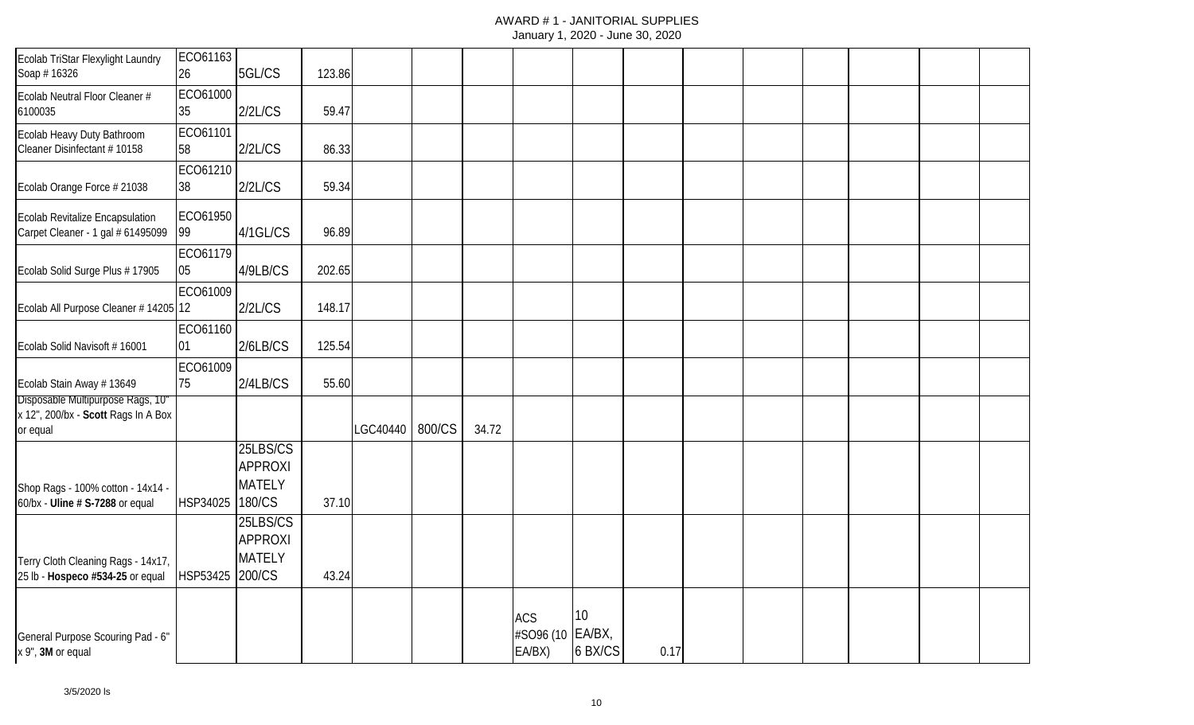| Ecolab TriStar Flexylight Laundry<br>Soap #16326                            | ECO61163<br>26 | 5GL/CS                                                | 123.86 |          |        |       |                            |         |      |  |  |  |
|-----------------------------------------------------------------------------|----------------|-------------------------------------------------------|--------|----------|--------|-------|----------------------------|---------|------|--|--|--|
| Ecolab Neutral Floor Cleaner #<br>6100035                                   | ECO61000<br>35 | 2/2L/CS                                               | 59.47  |          |        |       |                            |         |      |  |  |  |
| Ecolab Heavy Duty Bathroom<br>Cleaner Disinfectant #10158                   | ECO61101<br>58 | 2/2L/CS                                               | 86.33  |          |        |       |                            |         |      |  |  |  |
| Ecolab Orange Force # 21038                                                 | ECO61210<br>38 | 2/2L/CS                                               | 59.34  |          |        |       |                            |         |      |  |  |  |
| <b>Ecolab Revitalize Encapsulation</b><br>Carpet Cleaner - 1 gal # 61495099 | ECO61950<br>99 | 4/1GL/CS                                              | 96.89  |          |        |       |                            |         |      |  |  |  |
| Ecolab Solid Surge Plus # 17905                                             | ECO61179<br>05 | 4/9LB/CS                                              | 202.65 |          |        |       |                            |         |      |  |  |  |
| Ecolab All Purpose Cleaner # 14205 12                                       | ECO61009       | 2/2L/CS                                               | 148.17 |          |        |       |                            |         |      |  |  |  |
| Ecolab Solid Navisoft #16001                                                | ECO61160<br>01 | 2/6LB/CS                                              | 125.54 |          |        |       |                            |         |      |  |  |  |
| Ecolab Stain Away # 13649<br>Disposable Multipurpose Rags, 10"              | ECO61009<br>75 | 2/4LB/CS                                              | 55.60  |          |        |       |                            |         |      |  |  |  |
| x 12", 200/bx - Scott Rags In A Box<br>or equal                             |                |                                                       |        | LGC40440 | 800/CS | 34.72 |                            |         |      |  |  |  |
|                                                                             |                | 25LBS/CS<br><b>APPROXI</b>                            |        |          |        |       |                            |         |      |  |  |  |
| Shop Rags - 100% cotton - 14x14 -<br>60/bx - Uline # S-7288 or equal        | HSP34025       | <b>MATELY</b><br>180/CS                               | 37.10  |          |        |       |                            |         |      |  |  |  |
| Terry Cloth Cleaning Rags - 14x17,<br>25 lb - Hospeco #534-25 or equal      | HSP53425       | 25LBS/CS<br><b>APPROXI</b><br><b>MATELY</b><br>200/CS | 43.24  |          |        |       |                            |         |      |  |  |  |
|                                                                             |                |                                                       |        |          |        |       | <b>ACS</b>                 | 10      |      |  |  |  |
| General Purpose Scouring Pad - 6"<br>x 9", 3M or equal                      |                |                                                       |        |          |        |       | #SO96 (10 EA/BX,<br>EA/BX) | 6 BX/CS | 0.17 |  |  |  |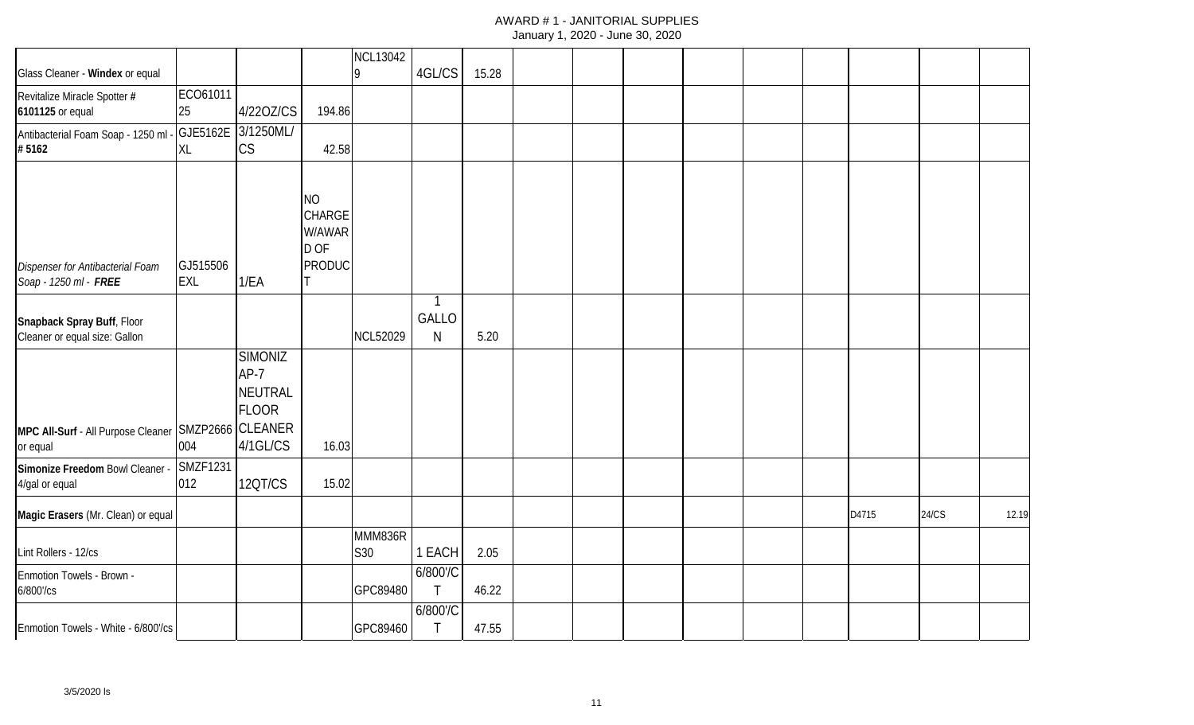| Glass Cleaner - Windex or equal                             |                        |                                                                     |                                                        | <b>NCL13042</b><br>Ι9 | 4GL/CS                     | 15.28 |  |  |  |       |              |       |
|-------------------------------------------------------------|------------------------|---------------------------------------------------------------------|--------------------------------------------------------|-----------------------|----------------------------|-------|--|--|--|-------|--------------|-------|
|                                                             | ECO61011               |                                                                     |                                                        |                       |                            |       |  |  |  |       |              |       |
| Revitalize Miracle Spotter #<br>6101125 or equal            | 25                     | 4/220Z/CS                                                           | 194.86                                                 |                       |                            |       |  |  |  |       |              |       |
| Antibacterial Foam Soap - 1250 ml - GJE5162E<br>#5162       | XL                     | 3/1250ML/<br>CS                                                     | 42.58                                                  |                       |                            |       |  |  |  |       |              |       |
| Dispenser for Antibacterial Foam<br>Soap - 1250 ml - FREE   | GJ515506<br><b>EXL</b> | 1/EA                                                                | <b>NO</b><br>CHARGE<br>W/AWAR<br>D OF<br><b>PRODUC</b> |                       |                            |       |  |  |  |       |              |       |
| Snapback Spray Buff, Floor<br>Cleaner or equal size: Gallon |                        |                                                                     |                                                        | <b>NCL52029</b>       | $\mathbf{1}$<br>GALLO<br>N | 5.20  |  |  |  |       |              |       |
| MPC All-Surf - All Purpose Cleaner SMZP2666                 |                        | <b>SIMONIZ</b><br>AP-7<br>NEUTRAL<br><b>FLOOR</b><br><b>CLEANER</b> |                                                        |                       |                            |       |  |  |  |       |              |       |
| or equal                                                    | 004                    | 4/1GL/CS                                                            | 16.03                                                  |                       |                            |       |  |  |  |       |              |       |
| Simonize Freedom Bowl Cleaner - SMZF1231<br>4/gal or equal  | 012                    | 12QT/CS                                                             | 15.02                                                  |                       |                            |       |  |  |  |       |              |       |
| Magic Erasers (Mr. Clean) or equal                          |                        |                                                                     |                                                        |                       |                            |       |  |  |  | D4715 | <b>24/CS</b> | 12.19 |
| Lint Rollers - 12/cs                                        |                        |                                                                     |                                                        | MMM836R<br>S30        | 1 EACH                     | 2.05  |  |  |  |       |              |       |
| Enmotion Towels - Brown -<br>6/800'/cs                      |                        |                                                                     |                                                        | GPC89480              | 6/800'/C<br>$\top$         | 46.22 |  |  |  |       |              |       |
| Enmotion Towels - White - 6/800'/cs                         |                        |                                                                     |                                                        | GPC89460              | 6/800'/C<br>$\top$         | 47.55 |  |  |  |       |              |       |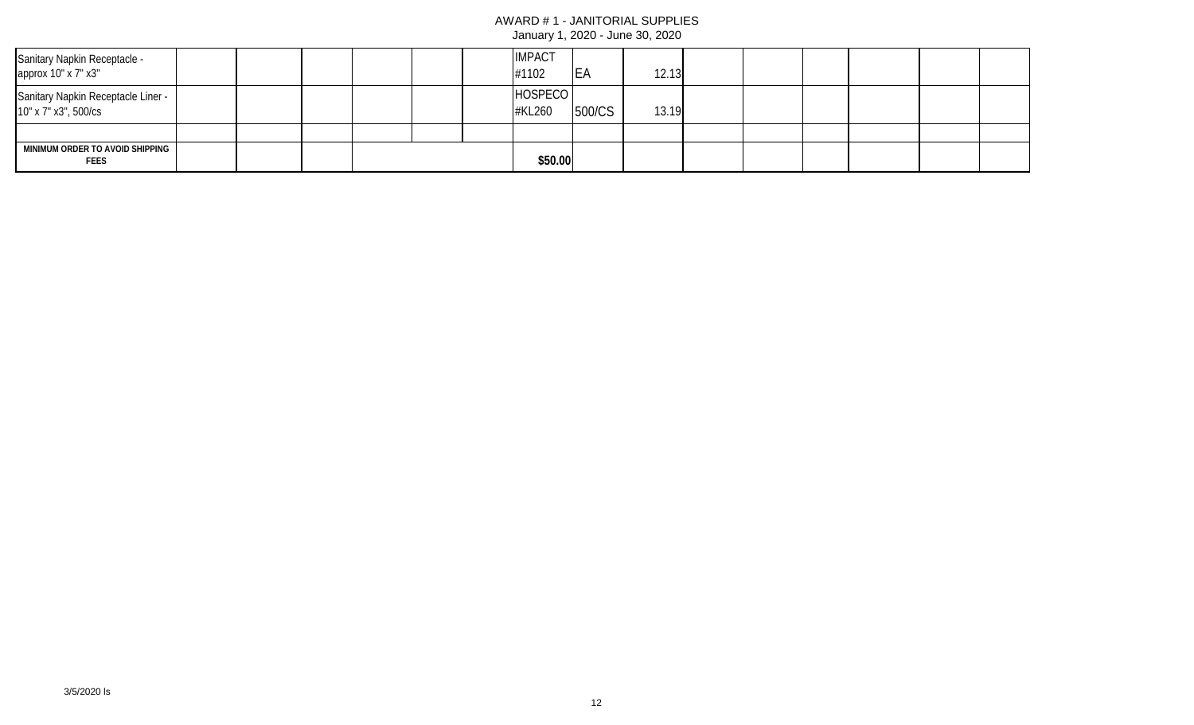| Sanitary Napkin Receptacle -<br>approx 10" x 7" x3"        |  |  |  | <b>IMPACT</b><br>#1102 | <b>IEA</b> | 12.13 |  |  |  |
|------------------------------------------------------------|--|--|--|------------------------|------------|-------|--|--|--|
| Sanitary Napkin Receptacle Liner -<br>10" x 7" x3", 500/cs |  |  |  | HOSPECO<br>#KL260      | 500/CS     | 13.19 |  |  |  |
|                                                            |  |  |  |                        |            |       |  |  |  |
| MINIMUM ORDER TO AVOID SHIPPING<br><b>FEES</b>             |  |  |  | \$50.00                |            |       |  |  |  |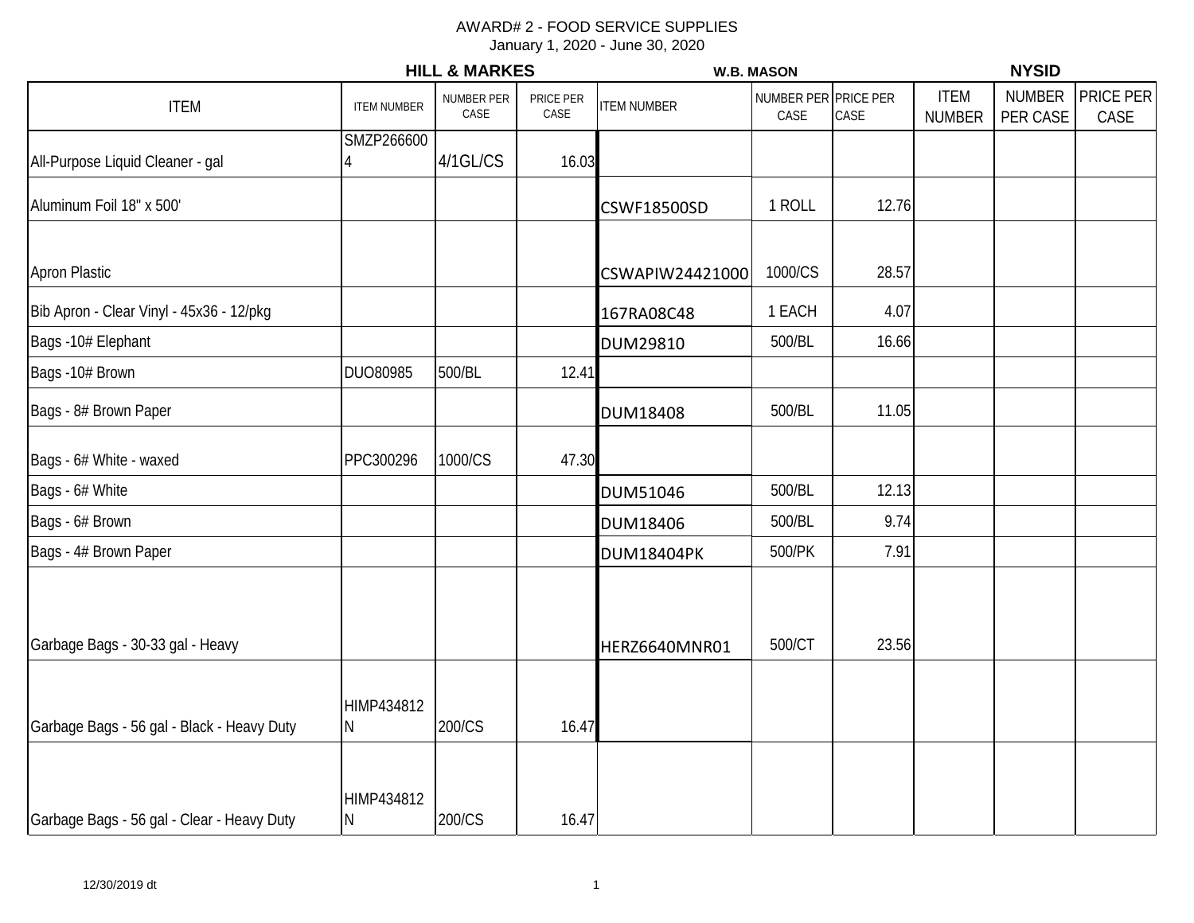|                                            | <b>HILL &amp; MARKES</b> |                    |                   | <b>W.B. MASON</b>  |                           |                   | <b>NYSID</b>                 |                           |                   |  |
|--------------------------------------------|--------------------------|--------------------|-------------------|--------------------|---------------------------|-------------------|------------------------------|---------------------------|-------------------|--|
| <b>ITEM</b>                                | <b>ITEM NUMBER</b>       | NUMBER PER<br>CASE | PRICE PER<br>CASE | <b>ITEM NUMBER</b> | <b>NUMBER PER</b><br>CASE | PRICE PER<br>CASE | <b>ITEM</b><br><b>NUMBER</b> | <b>NUMBER</b><br>PER CASE | PRICE PER<br>CASE |  |
| All-Purpose Liquid Cleaner - gal           | SMZP266600               | 4/1GL/CS           | 16.03             |                    |                           |                   |                              |                           |                   |  |
| Aluminum Foil 18" x 500'                   |                          |                    |                   | <b>CSWF18500SD</b> | 1 ROLL                    | 12.76             |                              |                           |                   |  |
| <b>Apron Plastic</b>                       |                          |                    |                   | CSWAPIW24421000    | 1000/CS                   | 28.57             |                              |                           |                   |  |
| Bib Apron - Clear Vinyl - 45x36 - 12/pkg   |                          |                    |                   | 167RA08C48         | 1 EACH                    | 4.07              |                              |                           |                   |  |
| Bags -10# Elephant                         |                          |                    |                   | DUM29810           | 500/BL                    | 16.66             |                              |                           |                   |  |
| Bags -10# Brown                            | DUO80985                 | 500/BL             | 12.41             |                    |                           |                   |                              |                           |                   |  |
| Bags - 8# Brown Paper                      |                          |                    |                   | <b>DUM18408</b>    | 500/BL                    | 11.05             |                              |                           |                   |  |
| Bags - 6# White - waxed                    | PPC300296                | 1000/CS            | 47.30             |                    |                           |                   |                              |                           |                   |  |
| Bags - 6# White                            |                          |                    |                   | <b>DUM51046</b>    | 500/BL                    | 12.13             |                              |                           |                   |  |
| Bags - 6# Brown                            |                          |                    |                   | <b>DUM18406</b>    | 500/BL                    | 9.74              |                              |                           |                   |  |
| Bags - 4# Brown Paper                      |                          |                    |                   | <b>DUM18404PK</b>  | 500/PK                    | 7.91              |                              |                           |                   |  |
| Garbage Bags - 30-33 gal - Heavy           |                          |                    |                   | HERZ6640MNR01      | 500/CT                    | 23.56             |                              |                           |                   |  |
| Garbage Bags - 56 gal - Black - Heavy Duty | HIMP434812<br>N          | 200/CS             | 16.47             |                    |                           |                   |                              |                           |                   |  |
| Garbage Bags - 56 gal - Clear - Heavy Duty | HIMP434812<br>N          | 200/CS             | 16.47             |                    |                           |                   |                              |                           |                   |  |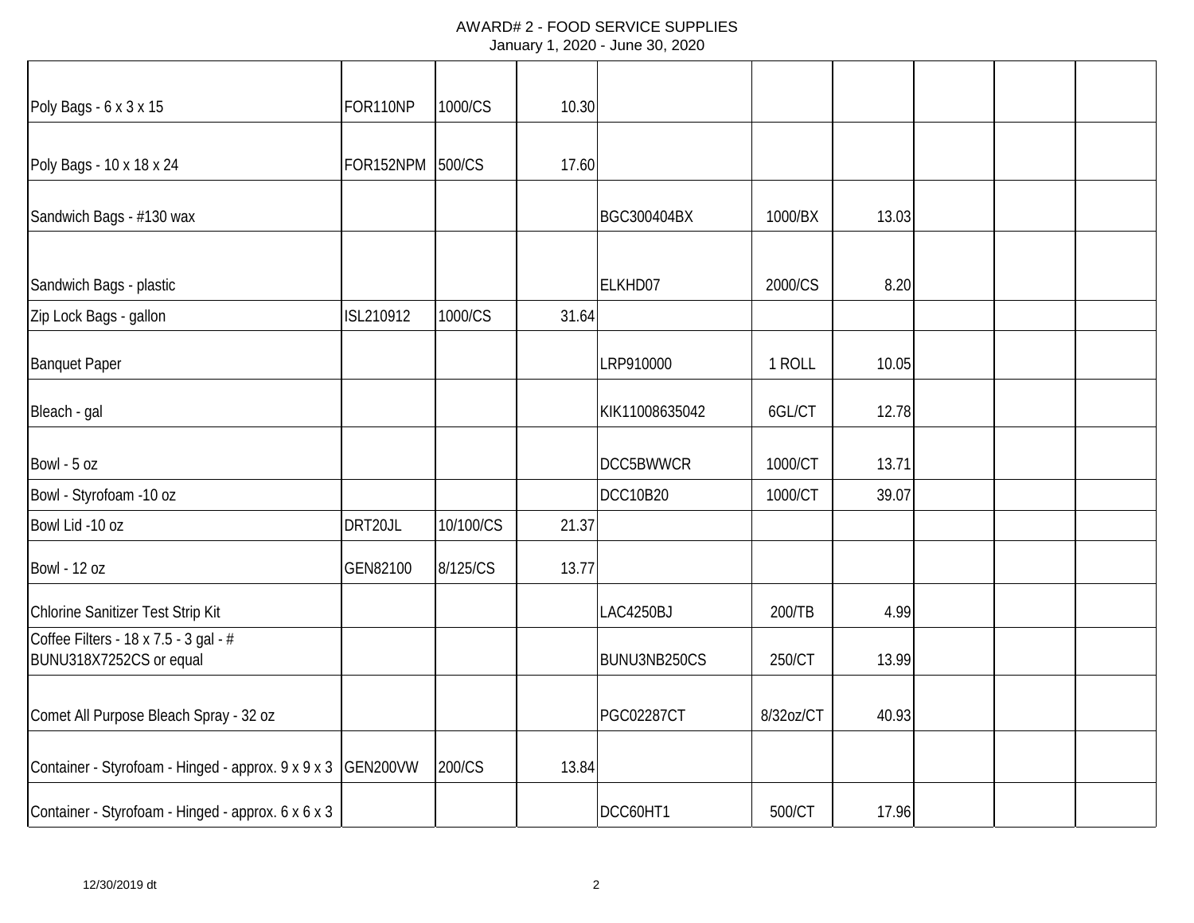| Poly Bags - 6 x 3 x 15                                           | FOR110NP  | 1000/CS   | 10.30 |                   |           |       |  |  |
|------------------------------------------------------------------|-----------|-----------|-------|-------------------|-----------|-------|--|--|
| Poly Bags - 10 x 18 x 24                                         | FOR152NPM | 500/CS    | 17.60 |                   |           |       |  |  |
| Sandwich Bags - #130 wax                                         |           |           |       | BGC300404BX       | 1000/BX   | 13.03 |  |  |
| Sandwich Bags - plastic                                          |           |           |       | ELKHD07           | 2000/CS   | 8.20  |  |  |
| Zip Lock Bags - gallon                                           | ISL210912 | 1000/CS   | 31.64 |                   |           |       |  |  |
| <b>Banquet Paper</b>                                             |           |           |       | LRP910000         | 1 ROLL    | 10.05 |  |  |
| Bleach - gal                                                     |           |           |       | KIK11008635042    | 6GL/CT    | 12.78 |  |  |
| Bowl - 5 oz                                                      |           |           |       | <b>DCC5BWWCR</b>  | 1000/CT   | 13.71 |  |  |
| Bowl - Styrofoam -10 oz                                          |           |           |       | <b>DCC10B20</b>   | 1000/CT   | 39.07 |  |  |
| Bowl Lid -10 oz                                                  | DRT20JL   | 10/100/CS | 21.37 |                   |           |       |  |  |
| <b>Bowl - 12 oz</b>                                              | GEN82100  | 8/125/CS  | 13.77 |                   |           |       |  |  |
| Chlorine Sanitizer Test Strip Kit                                |           |           |       | LAC4250BJ         | 200/TB    | 4.99  |  |  |
| Coffee Filters - 18 x 7.5 - 3 gal - #<br>BUNU318X7252CS or equal |           |           |       | BUNU3NB250CS      | 250/CT    | 13.99 |  |  |
| Comet All Purpose Bleach Spray - 32 oz                           |           |           |       | <b>PGC02287CT</b> | 8/32oz/CT | 40.93 |  |  |
| Container - Styrofoam - Hinged - approx. 9 x 9 x 3 GEN200VW      |           | 200/CS    | 13.84 |                   |           |       |  |  |
| Container - Styrofoam - Hinged - approx. 6 x 6 x 3               |           |           |       | DCC60HT1          | 500/CT    | 17.96 |  |  |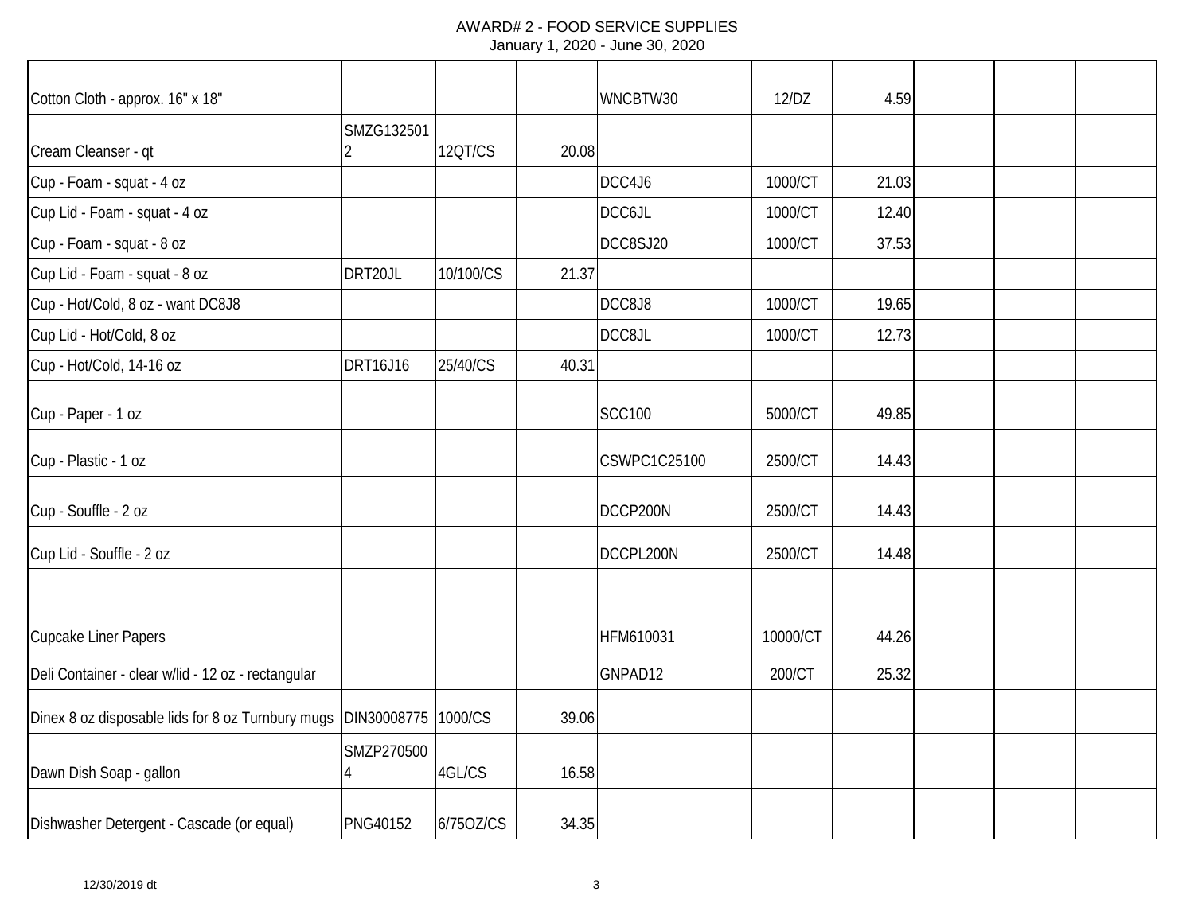| Cotton Cloth - approx. 16" x 18"                   |                     |           |       | WNCBTW30      | 12/DZ    | 4.59  |  |  |
|----------------------------------------------------|---------------------|-----------|-------|---------------|----------|-------|--|--|
|                                                    | SMZG132501          |           |       |               |          |       |  |  |
| Cream Cleanser - qt                                | 2                   | 12QT/CS   | 20.08 |               |          |       |  |  |
| Cup - Foam - squat - 4 oz                          |                     |           |       | DCC4J6        | 1000/CT  | 21.03 |  |  |
| Cup Lid - Foam - squat - 4 oz                      |                     |           |       | DCC6JL        | 1000/CT  | 12.40 |  |  |
| Cup - Foam - squat - 8 oz                          |                     |           |       | DCC8SJ20      | 1000/CT  | 37.53 |  |  |
| Cup Lid - Foam - squat - 8 oz                      | DRT20JL             | 10/100/CS | 21.37 |               |          |       |  |  |
| Cup - Hot/Cold, 8 oz - want DC8J8                  |                     |           |       | DCC8J8        | 1000/CT  | 19.65 |  |  |
| Cup Lid - Hot/Cold, 8 oz                           |                     |           |       | DCC8JL        | 1000/CT  | 12.73 |  |  |
| Cup - Hot/Cold, 14-16 oz                           | <b>DRT16J16</b>     | 25/40/CS  | 40.31 |               |          |       |  |  |
| Cup - Paper - 1 oz                                 |                     |           |       | <b>SCC100</b> | 5000/CT  | 49.85 |  |  |
| Cup - Plastic - 1 oz                               |                     |           |       | CSWPC1C25100  | 2500/CT  | 14.43 |  |  |
| Cup - Souffle - 2 oz                               |                     |           |       | DCCP200N      | 2500/CT  | 14.43 |  |  |
| Cup Lid - Souffle - 2 oz                           |                     |           |       | DCCPL200N     | 2500/CT  | 14.48 |  |  |
|                                                    |                     |           |       |               |          |       |  |  |
| <b>Cupcake Liner Papers</b>                        |                     |           |       | HFM610031     | 10000/CT | 44.26 |  |  |
| Deli Container - clear w/lid - 12 oz - rectangular |                     |           |       | GNPAD12       | 200/CT   | 25.32 |  |  |
| Dinex 8 oz disposable lids for 8 oz Turnbury mugs  | DIN30008775 1000/CS |           | 39.06 |               |          |       |  |  |
| Dawn Dish Soap - gallon                            | SMZP270500          | 4GL/CS    | 16.58 |               |          |       |  |  |
| Dishwasher Detergent - Cascade (or equal)          | <b>PNG40152</b>     | 6/750Z/CS | 34.35 |               |          |       |  |  |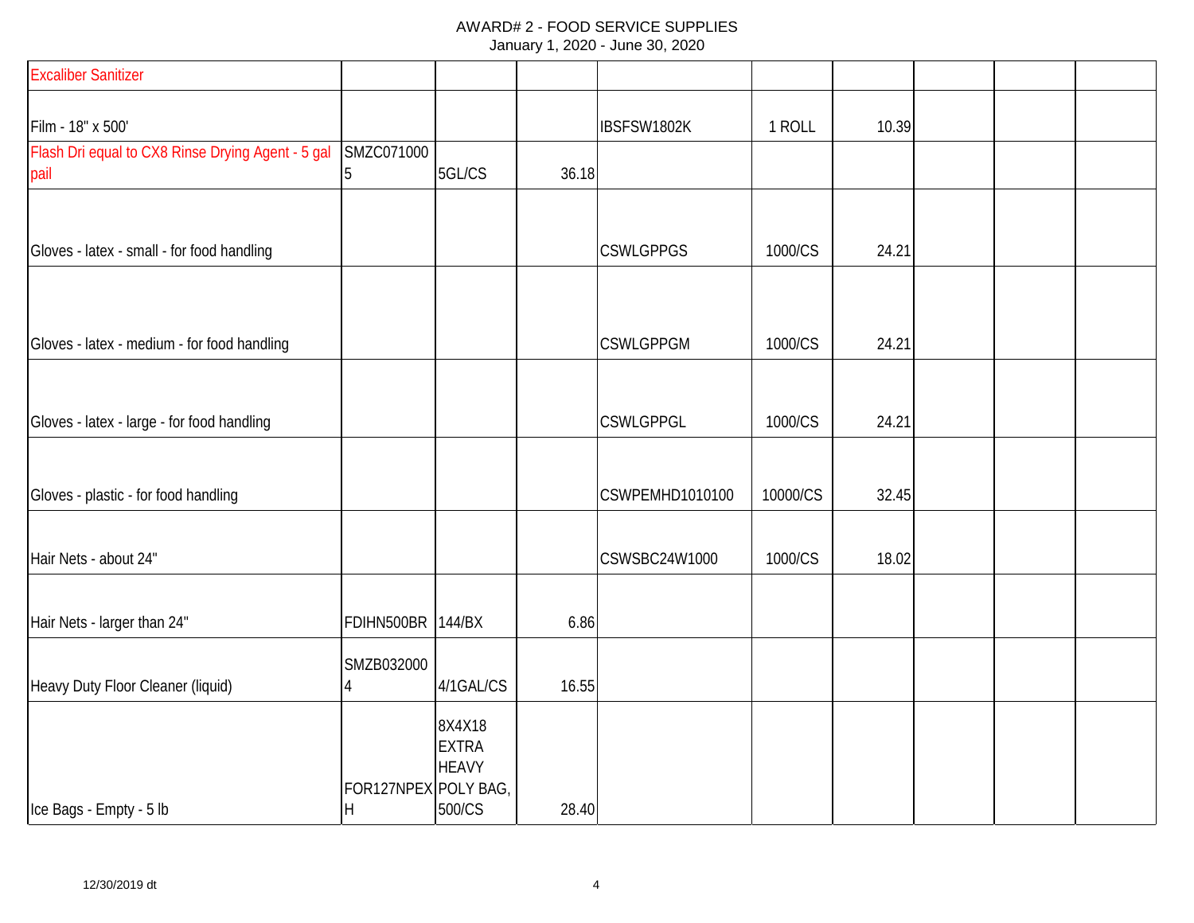| <b>Excaliber Sanitizer</b>                                |                           |                                                  |       |                  |          |       |  |  |
|-----------------------------------------------------------|---------------------------|--------------------------------------------------|-------|------------------|----------|-------|--|--|
| Film - 18" x 500'                                         |                           |                                                  |       | IBSFSW1802K      | 1 ROLL   | 10.39 |  |  |
| Flash Dri equal to CX8 Rinse Drying Agent - 5 gal<br>pail | SMZC071000<br>15          | 5GL/CS                                           | 36.18 |                  |          |       |  |  |
| Gloves - latex - small - for food handling                |                           |                                                  |       | <b>CSWLGPPGS</b> | 1000/CS  | 24.21 |  |  |
| Gloves - latex - medium - for food handling               |                           |                                                  |       | <b>CSWLGPPGM</b> | 1000/CS  | 24.21 |  |  |
| Gloves - latex - large - for food handling                |                           |                                                  |       | <b>CSWLGPPGL</b> | 1000/CS  | 24.21 |  |  |
| Gloves - plastic - for food handling                      |                           |                                                  |       | CSWPEMHD1010100  | 10000/CS | 32.45 |  |  |
| Hair Nets - about 24"                                     |                           |                                                  |       | CSWSBC24W1000    | 1000/CS  | 18.02 |  |  |
| Hair Nets - larger than 24"                               | <b>FDIHN500BR 144/BX</b>  |                                                  | 6.86  |                  |          |       |  |  |
| Heavy Duty Floor Cleaner (liquid)                         | SMZB032000<br>4           | 4/1GAL/CS                                        | 16.55 |                  |          |       |  |  |
| Ice Bags - Empty - 5 lb                                   | FOR127NPEX POLY BAG,<br>H | 8X4X18<br><b>EXTRA</b><br><b>HEAVY</b><br>500/CS | 28.40 |                  |          |       |  |  |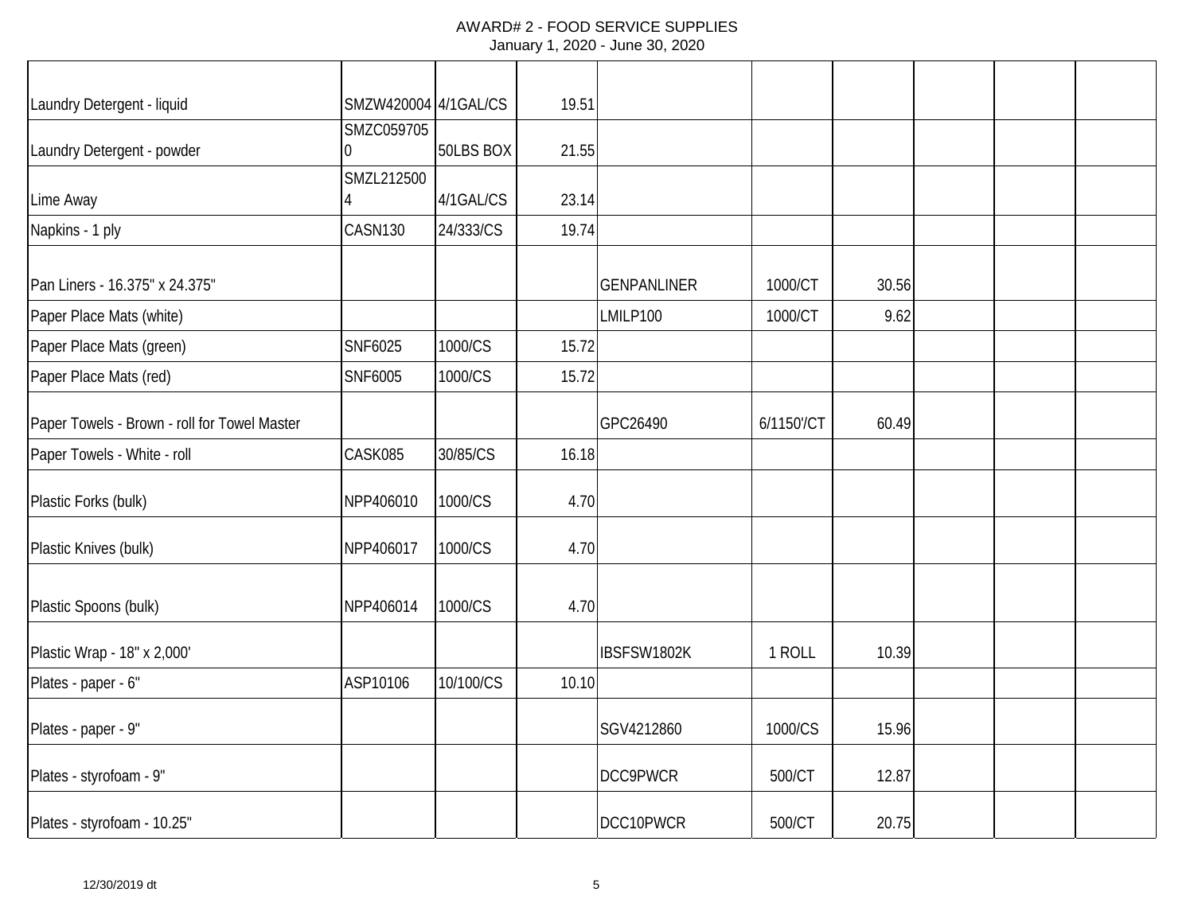| Laundry Detergent - liquid                   | SMZW420004 4/1GAL/CS |           | 19.51 |                    |            |       |  |  |
|----------------------------------------------|----------------------|-----------|-------|--------------------|------------|-------|--|--|
| Laundry Detergent - powder                   | SMZC059705<br>0      | 50LBS BOX | 21.55 |                    |            |       |  |  |
| Lime Away                                    | SMZL212500           | 4/1GAL/CS | 23.14 |                    |            |       |  |  |
| Napkins - 1 ply                              | CASN130              | 24/333/CS | 19.74 |                    |            |       |  |  |
| Pan Liners - 16.375" x 24.375"               |                      |           |       | <b>GENPANLINER</b> | 1000/CT    | 30.56 |  |  |
| Paper Place Mats (white)                     |                      |           |       | LMILP100           | 1000/CT    | 9.62  |  |  |
| Paper Place Mats (green)                     | SNF6025              | 1000/CS   | 15.72 |                    |            |       |  |  |
| Paper Place Mats (red)                       | SNF6005              | 1000/CS   | 15.72 |                    |            |       |  |  |
| Paper Towels - Brown - roll for Towel Master |                      |           |       | GPC26490           | 6/1150'/CT | 60.49 |  |  |
| Paper Towels - White - roll                  | CASK085              | 30/85/CS  | 16.18 |                    |            |       |  |  |
| Plastic Forks (bulk)                         | NPP406010            | 1000/CS   | 4.70  |                    |            |       |  |  |
| Plastic Knives (bulk)                        | NPP406017            | 1000/CS   | 4.70  |                    |            |       |  |  |
| Plastic Spoons (bulk)                        | NPP406014            | 1000/CS   | 4.70  |                    |            |       |  |  |
| Plastic Wrap - 18" x 2,000'                  |                      |           |       | IBSFSW1802K        | 1 ROLL     | 10.39 |  |  |
| Plates - paper - 6"                          | ASP10106             | 10/100/CS | 10.10 |                    |            |       |  |  |
| Plates - paper - 9"                          |                      |           |       | SGV4212860         | 1000/CS    | 15.96 |  |  |
| Plates - styrofoam - 9"                      |                      |           |       | DCC9PWCR           | 500/CT     | 12.87 |  |  |
| Plates - styrofoam - 10.25"                  |                      |           |       | DCC10PWCR          | 500/CT     | 20.75 |  |  |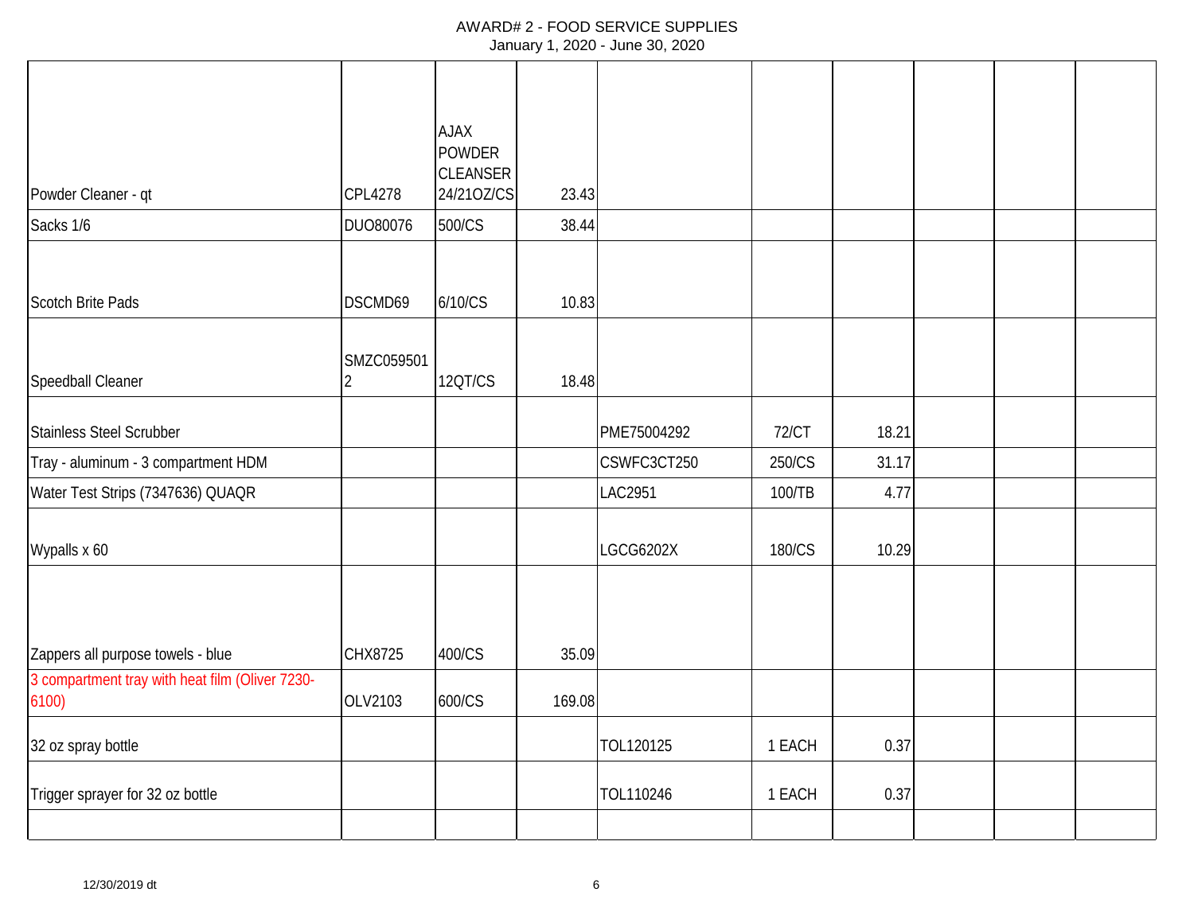|                                                         |                              | <b>AJAX</b><br><b>POWDER</b><br><b>CLEANSER</b> |        |                  |              |       |  |  |
|---------------------------------------------------------|------------------------------|-------------------------------------------------|--------|------------------|--------------|-------|--|--|
| Powder Cleaner - qt                                     | <b>CPL4278</b>               | 24/210Z/CS                                      | 23.43  |                  |              |       |  |  |
| Sacks 1/6                                               | DUO80076                     | 500/CS                                          | 38.44  |                  |              |       |  |  |
| <b>Scotch Brite Pads</b>                                | DSCMD69                      | 6/10/CS                                         | 10.83  |                  |              |       |  |  |
| Speedball Cleaner                                       | SMZC059501<br>$\overline{2}$ | <b>120T/CS</b>                                  | 18.48  |                  |              |       |  |  |
| Stainless Steel Scrubber                                |                              |                                                 |        | PME75004292      | <b>72/CT</b> | 18.21 |  |  |
| Tray - aluminum - 3 compartment HDM                     |                              |                                                 |        | CSWFC3CT250      | 250/CS       | 31.17 |  |  |
| Water Test Strips (7347636) QUAQR                       |                              |                                                 |        | <b>LAC2951</b>   | 100/TB       | 4.77  |  |  |
| Wypalls x 60                                            |                              |                                                 |        | <b>LGCG6202X</b> | 180/CS       | 10.29 |  |  |
|                                                         |                              |                                                 |        |                  |              |       |  |  |
| Zappers all purpose towels - blue                       | CHX8725                      | 400/CS                                          | 35.09  |                  |              |       |  |  |
| 3 compartment tray with heat film (Oliver 7230-<br>6100 | OLV2103                      | 600/CS                                          | 169.08 |                  |              |       |  |  |
| 32 oz spray bottle                                      |                              |                                                 |        | TOL120125        | 1 EACH       | 0.37  |  |  |
| Trigger sprayer for 32 oz bottle                        |                              |                                                 |        | TOL110246        | 1 EACH       | 0.37  |  |  |
|                                                         |                              |                                                 |        |                  |              |       |  |  |